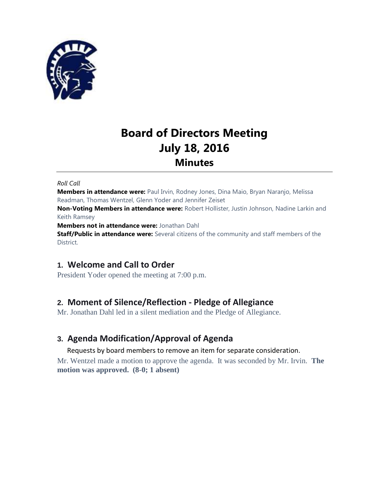

# **Board of Directors Meeting July 18, 2016 Minutes**

#### *Roll Call*

**Members in attendance were:** Paul Irvin, Rodney Jones, Dina Maio, Bryan Naranjo, Melissa Readman, Thomas Wentzel, Glenn Yoder and Jennifer Zeiset

**Non-Voting Members in attendance were:** Robert Hollister, Justin Johnson, Nadine Larkin and Keith Ramsey

**Members not in attendance were:** Jonathan Dahl

**Staff/Public in attendance were:** Several citizens of the community and staff members of the District.

# **1. Welcome and Call to Order**

President Yoder opened the meeting at 7:00 p.m.

# **2. Moment of Silence/Reflection - Pledge of Allegiance**

Mr. Jonathan Dahl led in a silent mediation and the Pledge of Allegiance.

# **3. Agenda Modification/Approval of Agenda**

Requests by board members to remove an item for separate consideration.

Mr. Wentzel made a motion to approve the agenda. It was seconded by Mr. Irvin. **The motion was approved. (8-0; 1 absent)**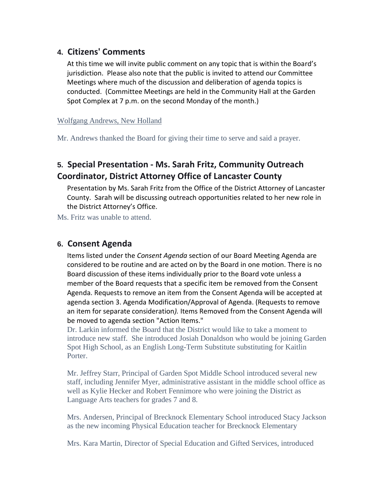# **4. Citizens' Comments**

At this time we will invite public comment on any topic that is within the Board's jurisdiction. Please also note that the public is invited to attend our Committee Meetings where much of the discussion and deliberation of agenda topics is conducted. (Committee Meetings are held in the Community Hall at the Garden Spot Complex at 7 p.m. on the second Monday of the month.)

#### Wolfgang Andrews, New Holland

Mr. Andrews thanked the Board for giving their time to serve and said a prayer.

# **5. Special Presentation - Ms. Sarah Fritz, Community Outreach Coordinator, District Attorney Office of Lancaster County**

Presentation by Ms. Sarah Fritz from the Office of the District Attorney of Lancaster County. Sarah will be discussing outreach opportunities related to her new role in the District Attorney's Office.

Ms. Fritz was unable to attend.

### **6. Consent Agenda**

Items listed under the *Consent Agenda* section of our Board Meeting Agenda are considered to be routine and are acted on by the Board in one motion. There is no Board discussion of these items individually prior to the Board vote unless a member of the Board requests that a specific item be removed from the Consent Agenda. Requests to remove an item from the Consent Agenda will be accepted at agenda section 3. Agenda Modification/Approval of Agenda. (Requests to remove an item for separate consideration*).* Items Removed from the Consent Agenda will be moved to agenda section "Action Items."

Dr. Larkin informed the Board that the District would like to take a moment to introduce new staff. She introduced Josiah Donaldson who would be joining Garden Spot High School, as an English Long-Term Substitute substituting for Kaitlin Porter.

Mr. Jeffrey Starr, Principal of Garden Spot Middle School introduced several new staff, including Jennifer Myer, administrative assistant in the middle school office as well as Kylie Hecker and Robert Fennimore who were joining the District as Language Arts teachers for grades 7 and 8.

Mrs. Andersen, Principal of Brecknock Elementary School introduced Stacy Jackson as the new incoming Physical Education teacher for Brecknock Elementary

Mrs. Kara Martin, Director of Special Education and Gifted Services, introduced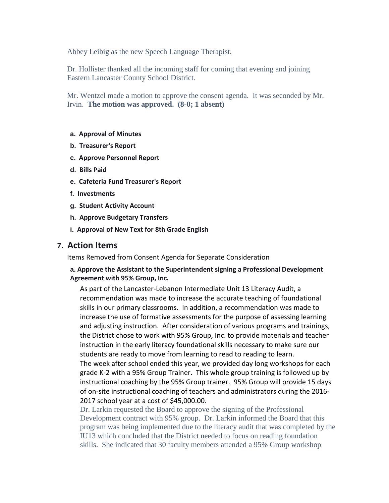Abbey Leibig as the new Speech Language Therapist.

Dr. Hollister thanked all the incoming staff for coming that evening and joining Eastern Lancaster County School District.

Mr. Wentzel made a motion to approve the consent agenda. It was seconded by Mr. Irvin. **The motion was approved. (8-0; 1 absent)**

#### **a. Approval of Minutes**

- **b. Treasurer's Report**
- **c. Approve Personnel Report**
- **d. Bills Paid**
- **e. Cafeteria Fund Treasurer's Report**
- **f. Investments**
- **g. Student Activity Account**
- **h. Approve Budgetary Transfers**
- **i. Approval of New Text for 8th Grade English**

### **7. Action Items**

Items Removed from Consent Agenda for Separate Consideration

#### **a. Approve the Assistant to the Superintendent signing a Professional Development Agreement with 95% Group, Inc.**

As part of the Lancaster-Lebanon Intermediate Unit 13 Literacy Audit, a recommendation was made to increase the accurate teaching of foundational skills in our primary classrooms. In addition, a recommendation was made to increase the use of formative assessments for the purpose of assessing learning and adjusting instruction. After consideration of various programs and trainings, the District chose to work with 95% Group, Inc. to provide materials and teacher instruction in the early literacy foundational skills necessary to make sure our students are ready to move from learning to read to reading to learn. The week after school ended this year, we provided day long workshops for each grade K-2 with a 95% Group Trainer. This whole group training is followed up by instructional coaching by the 95% Group trainer. 95% Group will provide 15 days of on-site instructional coaching of teachers and administrators during the 2016- 2017 school year at a cost of \$45,000.00.

Dr. Larkin requested the Board to approve the signing of the Professional Development contract with 95% group. Dr. Larkin informed the Board that this program was being implemented due to the literacy audit that was completed by the IU13 which concluded that the District needed to focus on reading foundation skills. She indicated that 30 faculty members attended a 95% Group workshop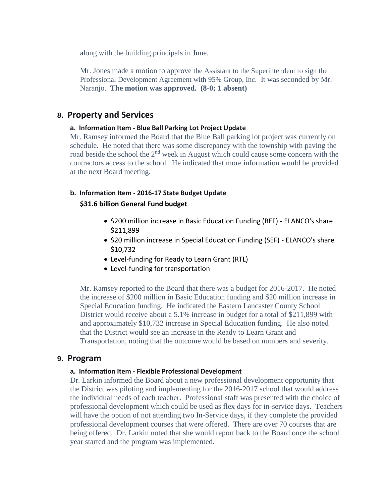along with the building principals in June.

Mr. Jones made a motion to approve the Assistant to the Superintendent to sign the Professional Development Agreement with 95% Group, Inc. It was seconded by Mr. Naranjo. **The motion was approved. (8-0; 1 absent)**

### **8. Property and Services**

#### **a. Information Item - Blue Ball Parking Lot Project Update**

Mr. Ramsey informed the Board that the Blue Ball parking lot project was currently on schedule. He noted that there was some discrepancy with the township with paving the road beside the school the 2<sup>nd</sup> week in August which could cause some concern with the contractors access to the school. He indicated that more information would be provided at the next Board meeting.

#### **b. Information Item - 2016-17 State Budget Update**

#### **\$31.6 billion General Fund budget**

- \$200 million increase in Basic Education Funding (BEF) ELANCO's share \$211,899
- \$20 million increase in Special Education Funding (SEF) ELANCO's share \$10,732
- Level-funding for Ready to Learn Grant (RTL)
- Level-funding for transportation

Mr. Ramsey reported to the Board that there was a budget for 2016-2017. He noted the increase of \$200 million in Basic Education funding and \$20 million increase in Special Education funding. He indicated the Eastern Lancaster County School District would receive about a 5.1% increase in budget for a total of \$211,899 with and approximately \$10,732 increase in Special Education funding. He also noted that the District would see an increase in the Ready to Learn Grant and Transportation, noting that the outcome would be based on numbers and severity.

#### **9. Program**

#### **a. Information Item - Flexible Professional Development**

Dr. Larkin informed the Board about a new professional development opportunity that the District was piloting and implementing for the 2016-2017 school that would address the individual needs of each teacher. Professional staff was presented with the choice of professional development which could be used as flex days for in-service days. Teachers will have the option of not attending two In-Service days, if they complete the provided professional development courses that were offered. There are over 70 courses that are being offered. Dr. Larkin noted that she would report back to the Board once the school year started and the program was implemented.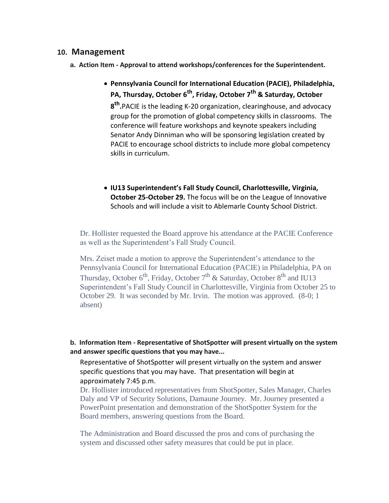### **10. Management**

- **a. Action Item - Approval to attend workshops/conferences for the Superintendent.**
	- **Pennsylvania Council for International Education (PACIE), Philadelphia, PA, Thursday, October 6th, Friday, October 7th & Saturday, October 8 th .**PACIE is the leading K-20 organization, clearinghouse, and advocacy group for the promotion of global competency skills in classrooms. The conference will feature workshops and keynote speakers including Senator Andy Dinniman who will be sponsoring legislation created by PACIE to encourage school districts to include more global competency skills in curriculum.
	- **IU13 Superintendent's Fall Study Council, Charlottesville, Virginia, October 25-October 29.** The focus will be on the League of Innovative Schools and will include a visit to Ablemarle County School District.

Dr. Hollister requested the Board approve his attendance at the PACIE Conference as well as the Superintendent's Fall Study Council.

Mrs. Zeiset made a motion to approve the Superintendent's attendance to the Pennsylvania Council for International Education (PACIE) in Philadelphia, PA on Thursday, October  $6^{th}$ , Friday, October  $7^{th}$  & Saturday, October  $8^{th}$  and IU13 Superintendent's Fall Study Council in Charlottesville, Virginia from October 25 to October 29. It was seconded by Mr. Irvin. The motion was approved. (8-0; 1 absent)

#### **b. Information Item - Representative of ShotSpotter will present virtually on the system and answer specific questions that you may have...**

Representative of ShotSpotter will present virtually on the system and answer specific questions that you may have. That presentation will begin at approximately 7:45 p.m.

Dr. Hollister introduced representatives from ShotSpotter, Sales Manager, Charles Daly and VP of Security Solutions, Damaune Journey. Mr. Journey presented a PowerPoint presentation and demonstration of the ShotSpotter System for the Board members, answering questions from the Board.

The Administration and Board discussed the pros and cons of purchasing the system and discussed other safety measures that could be put in place.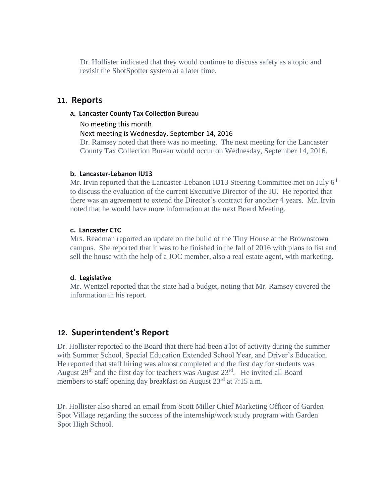Dr. Hollister indicated that they would continue to discuss safety as a topic and revisit the ShotSpotter system at a later time.

#### **11. Reports**

**a. Lancaster County Tax Collection Bureau**

No meeting this month

Next meeting is Wednesday, September 14, 2016

Dr. Ramsey noted that there was no meeting. The next meeting for the Lancaster County Tax Collection Bureau would occur on Wednesday, September 14, 2016.

#### **b. Lancaster-Lebanon IU13**

Mr. Irvin reported that the Lancaster-Lebanon IU13 Steering Committee met on July 6<sup>th</sup> to discuss the evaluation of the current Executive Director of the IU. He reported that there was an agreement to extend the Director's contract for another 4 years. Mr. Irvin noted that he would have more information at the next Board Meeting.

#### **c. Lancaster CTC**

Mrs. Readman reported an update on the build of the Tiny House at the Brownstown campus. She reported that it was to be finished in the fall of 2016 with plans to list and sell the house with the help of a JOC member, also a real estate agent, with marketing.

#### **d. Legislative**

Mr. Wentzel reported that the state had a budget, noting that Mr. Ramsey covered the information in his report.

# **12. Superintendent's Report**

Dr. Hollister reported to the Board that there had been a lot of activity during the summer with Summer School, Special Education Extended School Year, and Driver's Education. He reported that staff hiring was almost completed and the first day for students was August  $29<sup>th</sup>$  and the first day for teachers was August  $23<sup>rd</sup>$ . He invited all Board members to staff opening day breakfast on August  $23<sup>rd</sup>$  at 7:15 a.m.

Dr. Hollister also shared an email from Scott Miller Chief Marketing Officer of Garden Spot Village regarding the success of the internship/work study program with Garden Spot High School.